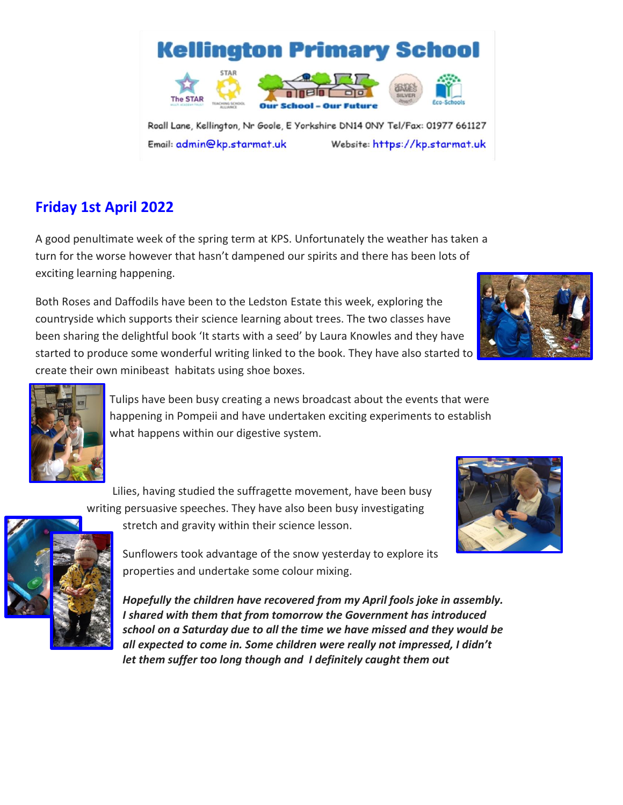

Roall Lane, Kellington, Nr Goole, E Yorkshire DN14 0NY Tel/Fax: 01977 661127 Email: admin@kp.starmat.uk Website: https://kp.starmat.uk

School

# **Friday 1st April 2022**

A good penultimate week of the spring term at KPS. Unfortunately the weather has taken a turn for the worse however that hasn't dampened our spirits and there has been lots of exciting learning happening.

Both Roses and Daffodils have been to the Ledston Estate this week, exploring the countryside which supports their science learning about trees. The two classes have been sharing the delightful book 'It starts with a seed' by Laura Knowles and they have started to produce some wonderful writing linked to the book. They have also started to create their own minibeast habitats using shoe boxes.





Tulips have been busy creating a news broadcast about the events that were happening in Pompeii and have undertaken exciting experiments to establish what happens within our digestive system.

Lilies, having studied the suffragette movement, have been busy

writing persuasive speeches. They have also been busy investigating



stretch and gravity within their science lesson.

Sunflowers took advantage of the snow yesterday to explore its properties and undertake some colour mixing.

*Hopefully the children have recovered from my April fools joke in assembly. I shared with them that from tomorrow the Government has introduced school on a Saturday due to all the time we have missed and they would be all expected to come in. Some children were really not impressed, I didn't let them suffer too long though and I definitely caught them out* 

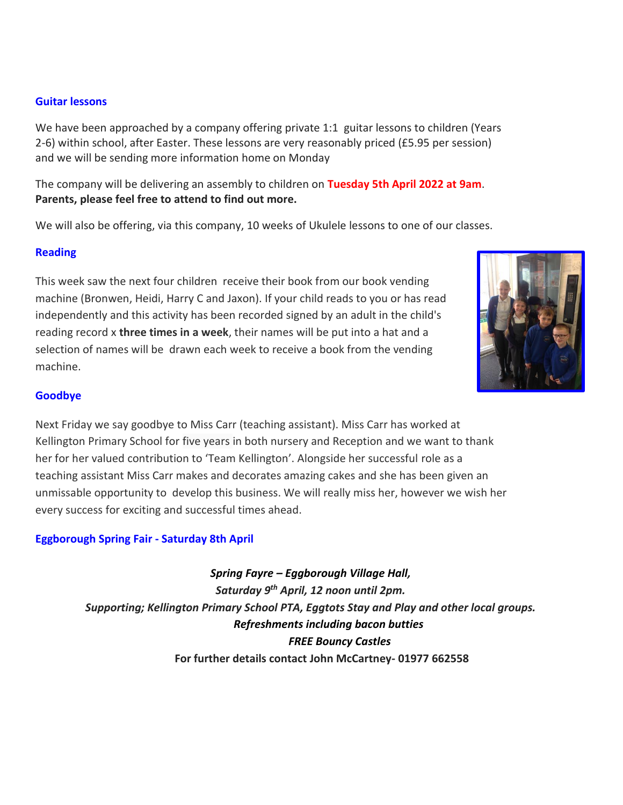### **Guitar lessons**

We have been approached by a company offering private 1:1 guitar lessons to children (Years 2-6) within school, after Easter. These lessons are very reasonably priced (£5.95 per session) and we will be sending more information home on Monday

The company will be delivering an assembly to children on **Tuesday 5th April 2022 at 9am**. **Parents, please feel free to attend to find out more.**

We will also be offering, via this company, 10 weeks of Ukulele lessons to one of our classes.

## **Reading**

This week saw the next four children receive their book from our book vending machine (Bronwen, Heidi, Harry C and Jaxon). If your child reads to you or has read independently and this activity has been recorded signed by an adult in the child's reading record x **three times in a week**, their names will be put into a hat and a selection of names will be drawn each week to receive a book from the vending machine.



## **Goodbye**

Next Friday we say goodbye to Miss Carr (teaching assistant). Miss Carr has worked at Kellington Primary School for five years in both nursery and Reception and we want to thank her for her valued contribution to 'Team Kellington'. Alongside her successful role as a teaching assistant Miss Carr makes and decorates amazing cakes and she has been given an unmissable opportunity to develop this business. We will really miss her, however we wish her every success for exciting and successful times ahead.

## **Eggborough Spring Fair - Saturday 8th April**

*Spring Fayre – Eggborough Village Hall, Saturday 9th April, 12 noon until 2pm. Supporting; Kellington Primary School PTA, Eggtots Stay and Play and other local groups. Refreshments including bacon butties FREE Bouncy Castles*  **For further details contact John McCartney- 01977 662558**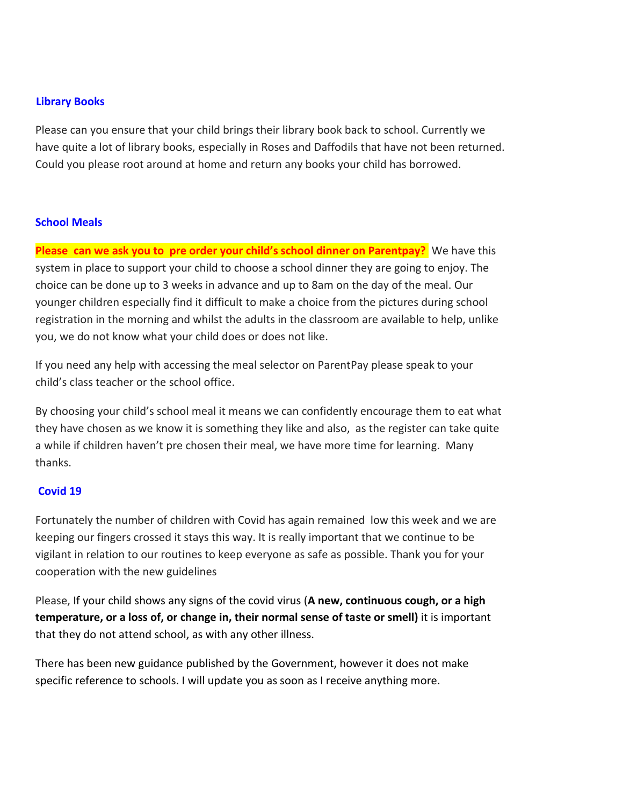### **Library Books**

Please can you ensure that your child brings their library book back to school. Currently we have quite a lot of library books, especially in Roses and Daffodils that have not been returned. Could you please root around at home and return any books your child has borrowed.

#### **School Meals**

**Please can we ask you to pre order your child's school dinner on Parentpay?** We have this system in place to support your child to choose a school dinner they are going to enjoy. The choice can be done up to 3 weeks in advance and up to 8am on the day of the meal. Our younger children especially find it difficult to make a choice from the pictures during school registration in the morning and whilst the adults in the classroom are available to help, unlike you, we do not know what your child does or does not like.

If you need any help with accessing the meal selector on ParentPay please speak to your child's class teacher or the school office.

By choosing your child's school meal it means we can confidently encourage them to eat what they have chosen as we know it is something they like and also, as the register can take quite a while if children haven't pre chosen their meal, we have more time for learning. Many thanks.

#### **Covid 19**

Fortunately the number of children with Covid has again remained low this week and we are keeping our fingers crossed it stays this way. It is really important that we continue to be vigilant in relation to our routines to keep everyone as safe as possible. Thank you for your cooperation with the new guidelines

Please, If your child shows any signs of the covid virus (**A new, continuous cough, or a high temperature, or a loss of, or change in, their normal sense of taste or smell)** it is important that they do not attend school, as with any other illness.

There has been new guidance published by the Government, however it does not make specific reference to schools. I will update you as soon as I receive anything more.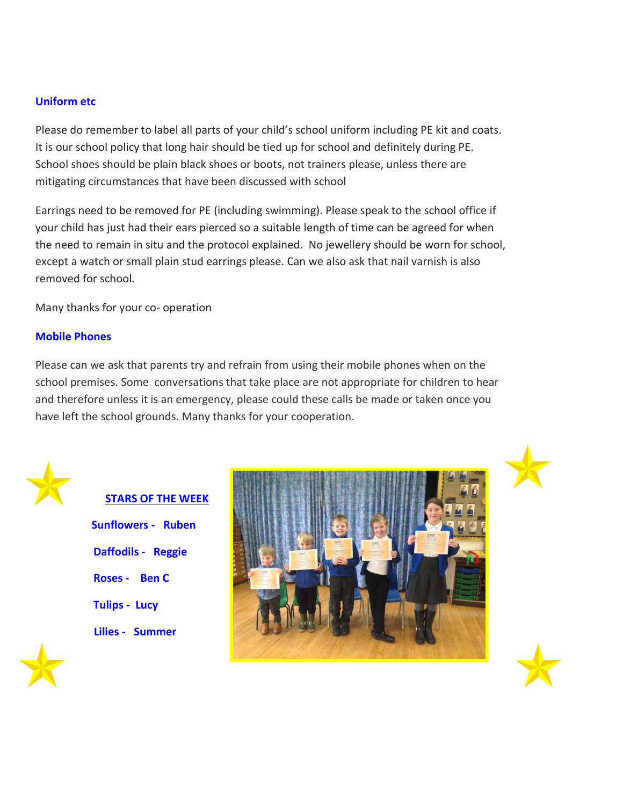## **Uniform etc**

Please do remember to label all parts of your child's school uniform including PE kit and coats. It is our school policy that long hair should be tied up for school and definitely during PE. School shoes should be plain black shoes or boots, not trainers please, unless there are mitigating circumstances that have been discussed with school

Earrings need to be removed for PE (including swimming). Please speak to the school office if your child has just had their ears pierced so a suitable length of time can be agreed for when the need to remain in situ and the protocol explained. No jewellery should be worn for school, except a watch or small plain stud earrings please. Can we also ask that nail varnish is also removed for school.

Many thanks for your co- operation

### **Mobile Phones**

Please can we ask that parents try and refrain from using their mobile phones when on the school premises. Some conversations that take place are not appropriate for children to hear and therefore unless it is an emergency, please could these calls be made or taken once you have left the school grounds. Many thanks for your cooperation.



## **STARS OF THE WEEK**

**Sunflowers - Ruben Daffodils - Reggie Roses - Ben C Tulips - Lucy Lilies - Summer** 







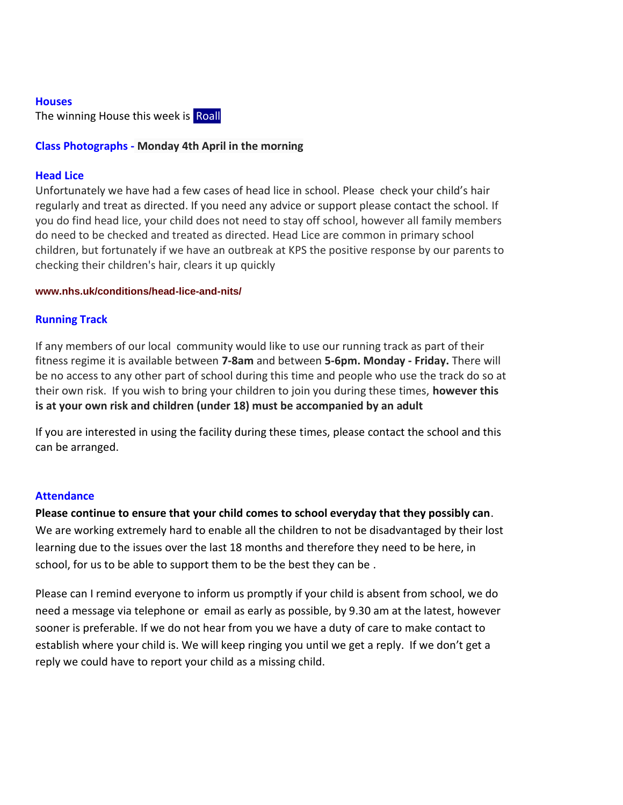#### **Houses**

The winning House this week is Roall

## **Class Photographs - Monday 4th April in the morning**

## **Head Lice**

Unfortunately we have had a few cases of head lice in school. Please check your child's hair regularly and treat as directed. If you need any advice or support please contact the school. If you do find head lice, your child does not need to stay off school, however all family members do need to be checked and treated as directed. Head Lice are common in primary school children, but fortunately if we have an outbreak at KPS the positive response by our parents to checking their children's hair, clears it up quickly

#### **[www.nhs.uk/conditions/head-lice-and-nits/](https://www.nhs.uk/conditions/head-lice-and-nits/)**

## **Running Track**

If any members of our local community would like to use our running track as part of their fitness regime it is available between **7-8am** and between **5-6pm. Monday - Friday.** There will be no access to any other part of school during this time and people who use the track do so at their own risk. If you wish to bring your children to join you during these times, **however this is at your own risk and children (under 18) must be accompanied by an adult** 

If you are interested in using the facility during these times, please contact the school and this can be arranged.

#### **Attendance**

#### **Please continue to ensure that your child comes to school everyday that they possibly can**.

We are working extremely hard to enable all the children to not be disadvantaged by their lost learning due to the issues over the last 18 months and therefore they need to be here, in school, for us to be able to support them to be the best they can be .

Please can I remind everyone to inform us promptly if your child is absent from school, we do need a message via telephone or email as early as possible, by 9.30 am at the latest, however sooner is preferable. If we do not hear from you we have a duty of care to make contact to establish where your child is. We will keep ringing you until we get a reply. If we don't get a reply we could have to report your child as a missing child.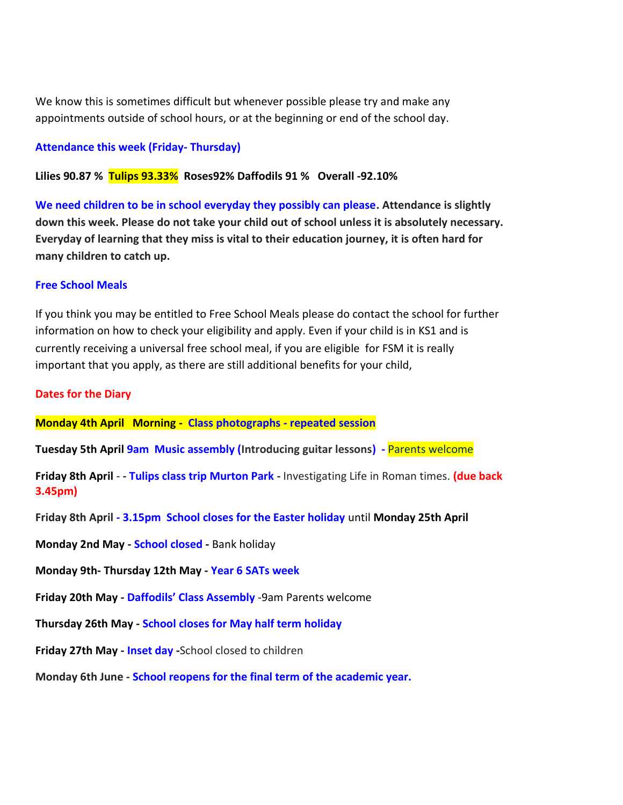We know this is sometimes difficult but whenever possible please try and make any appointments outside of school hours, or at the beginning or end of the school day.

## **Attendance this week (Friday- Thursday)**

**Lilies 90.87 % Tulips 93.33% Roses92% Daffodils 91 % Overall -92.10%**

**We need children to be in school everyday they possibly can please. Attendance is slightly down this week. Please do not take your child out of school unless it is absolutely necessary. Everyday of learning that they miss is vital to their education journey, it is often hard for many children to catch up.** 

#### **Free School Meals**

If you think you may be entitled to Free School Meals please do contact the school for further information on how to check your eligibility and apply. Even if your child is in KS1 and is currently receiving a universal free school meal, if you are eligible for FSM it is really important that you apply, as there are still additional benefits for your child,

#### **Dates for the Diary**

**Monday 4th April Morning - Class photographs - repeated session** 

**Tuesday 5th April 9am Music assembly (Introducing guitar lessons) -** Parents welcome

**Friday 8th April** - **- Tulips class trip Murton Park -** Investigating Life in Roman times. **(due back 3.45pm)**

**Friday 8th April - 3.15pm School closes for the Easter holiday** until **Monday 25th April** 

**Monday 2nd May - School closed -** Bank holiday

**Monday 9th- Thursday 12th May - Year 6 SATs week** 

**Friday 20th May - Daffodils' Class Assembly** -9am Parents welcome

**Thursday 26th May - School closes for May half term holiday**

**Friday 27th May - Inset day -**School closed to children

**Monday 6th June - School reopens for the final term of the academic year.**